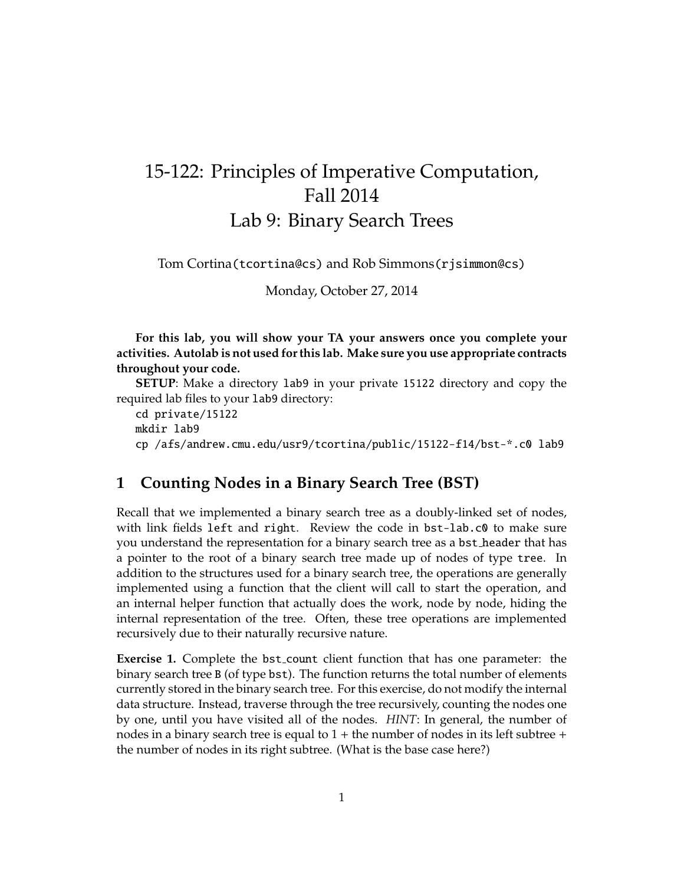## 15-122: Principles of Imperative Computation, Fall 2014 Lab 9: Binary Search Trees

Tom Cortina(tcortina@cs) and Rob Simmons(rjsimmon@cs)

Monday, October 27, 2014

**For this lab, you will show your TA your answers once you complete your activities. Autolab is not used for this lab. Make sure you use appropriate contracts throughout your code.**

**SETUP**: Make a directory lab9 in your private 15122 directory and copy the required lab files to your lab9 directory:

cd private/15122 mkdir lab9 cp /afs/andrew.cmu.edu/usr9/tcortina/public/15122-f14/bst-\*.c0 lab9

## **1 Counting Nodes in a Binary Search Tree (BST)**

Recall that we implemented a binary search tree as a doubly-linked set of nodes, with link fields left and right. Review the code in bst-lab.c0 to make sure you understand the representation for a binary search tree as a bst header that has a pointer to the root of a binary search tree made up of nodes of type tree. In addition to the structures used for a binary search tree, the operations are generally implemented using a function that the client will call to start the operation, and an internal helper function that actually does the work, node by node, hiding the internal representation of the tree. Often, these tree operations are implemented recursively due to their naturally recursive nature.

**Exercise 1.** Complete the bst<sub>-count</sub> client function that has one parameter: the binary search tree B (of type bst). The function returns the total number of elements currently stored in the binary search tree. For this exercise, do not modify the internal data structure. Instead, traverse through the tree recursively, counting the nodes one by one, until you have visited all of the nodes. *HINT*: In general, the number of nodes in a binary search tree is equal to  $1 +$  the number of nodes in its left subtree  $+$ the number of nodes in its right subtree. (What is the base case here?)